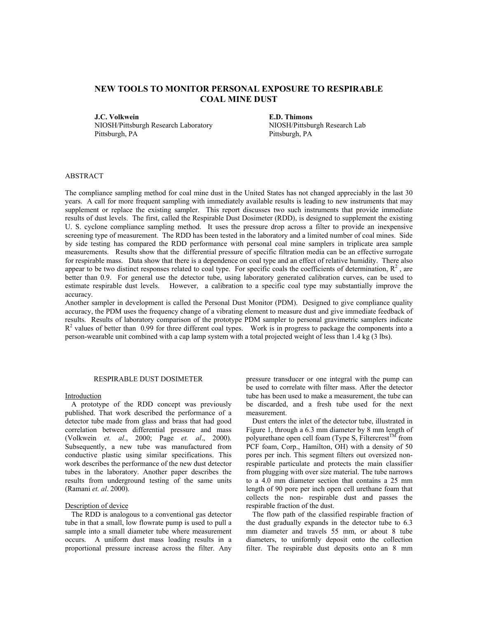# **NEW TOOLS TO MONITOR PERSONAL EXPOSURE TO RESPIRABLE COAL MINE DUST**

**J.C. Volkwein E.D. Thimons** 

NIOSH/Pittsburgh Research Laboratory Pittsburgh, PA

NIOSH/Pittsburgh Research Lab Pittsburgh, PA

# ABSTRACT

The compliance sampling method for coal mine dust in the United States has not changed appreciably in the last 30 years. A call for more frequent sampling with immediately available results is leading to new instruments that may supplement or replace the existing sampler. This report discusses two such instruments that provide immediate results of dust levels. The first, called the Respirable Dust Dosimeter (RDD), is designed to supplement the existing U. S. cyclone compliance sampling method. It uses the pressure drop across a filter to provide an inexpensive screening type of measurement. The RDD has been tested in the laboratory and a limited number of coal mines. Side by side testing has compared the RDD performance with personal coal mine samplers in triplicate area sample measurements. Results show that the differential pressure of specific filtration media can be an effective surrogate for respirable mass. Data show that there is a dependence on coal type and an effect of relative humidity. There also appear to be two distinct responses related to coal type. For specific coals the coefficients of determination,  $\mathbb{R}^2$ , are better than 0.9. For general use the detector tube, using laboratory generated calibration curves, can be used to estimate respirable dust levels. However, a calibration to a specific coal type may substantially improve the accuracy.

Another sampler in development is called the Personal Dust Monitor (PDM). Designed to give compliance quality accuracy, the PDM uses the frequency change of a vibrating element to measure dust and give immediate feedback of results. Results of laboratory comparison of the prototype PDM sampler to personal gravimetric samplers indicate  $R<sup>2</sup>$  values of better than 0.99 for three different coal types. Work is in progress to package the components into a person-wearable unit combined with a cap lamp system with a total projected weight of less than 1.4 kg (3 lbs).

#### RESPIRABLE DUST DOSIMETER

#### **Introduction**

A prototype of the RDD concept was previously published. That work described the performance of a detector tube made from glass and brass that had good correlation between differential pressure and mass (Volkwein *et. al*., 2000; Page *et. al*., 2000). Subsequently, a new tube was manufactured from conductive plastic using similar specifications. This work describes the performance of the new dust detector tubes in the laboratory. Another paper describes the results from underground testing of the same units (Ramani *et. al*. 2000).

#### Description of device

The RDD is analogous to a conventional gas detector tube in that a small, low flowrate pump is used to pull a sample into a small diameter tube where measurement occurs. A uniform dust mass loading results in a proportional pressure increase across the filter. Any

pressure transducer or one integral with the pump can be used to correlate with filter mass. After the detector tube has been used to make a measurement, the tube can be discarded, and a fresh tube used for the next measurement.

Dust enters the inlet of the detector tube, illustrated in Figure 1, through a 6.3 mm diameter by 8 mm length of polyurethane open cell foam (Type S, Filtercrest<sup>TM</sup> from PCF foam, Corp., Hamilton, OH) with a density of 50 pores per inch. This segment filters out oversized nonrespirable particulate and protects the main classifier from plugging with over size material. The tube narrows to a 4.0 mm diameter section that contains a 25 mm length of 90 pore per inch open cell urethane foam that collects the non- respirable dust and passes the respirable fraction of the dust.

The flow path of the classified respirable fraction of the dust gradually expands in the detector tube to 6.3 mm diameter and travels 55 mm, or about 8 tube diameters, to uniformly deposit onto the collection filter. The respirable dust deposits onto an 8 mm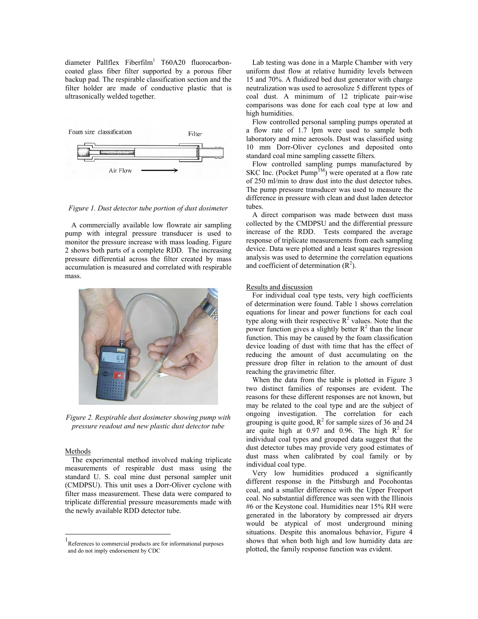diameter Pallflex Fiberfilm<sup>1</sup> T60A20 fluorocarboncoated glass fiber filter supported by a porous fiber backup pad. The respirable classification section and the filter holder are made of conductive plastic that is ultrasonically welded together.



*Figure 1. Dust detector tube portion of dust dosimeter* 

A commercially available low flowrate air sampling pump with integral pressure transducer is used to monitor the pressure increase with mass loading. Figure 2 shows both parts of a complete RDD. The increasing pressure differential across the filter created by mass accumulation is measured and correlated with respirable mass.



*Figure 2. Respirable dust dosimeter showing pump with pressure readout and new plastic dust detector tube* 

### Methods

 $\overline{a}$ 

The experimental method involved making triplicate measurements of respirable dust mass using the standard U. S. coal mine dust personal sampler unit (CMDPSU). This unit uses a Dorr-Oliver cyclone with filter mass measurement. These data were compared to triplicate differential pressure measurements made with the newly available RDD detector tube.

Lab testing was done in a Marple Chamber with very uniform dust flow at relative humidity levels between 15 and 70%. A fluidized bed dust generator with charge neutralization was used to aerosolize 5 different types of coal dust. A minimum of 12 triplicate pair-wise comparisons was done for each coal type at low and high humidities.

Flow controlled personal sampling pumps operated at a flow rate of 1.7 lpm were used to sample both laboratory and mine aerosols. Dust was classified using 10 mm Dorr-Oliver cyclones and deposited onto standard coal mine sampling cassette filters.

Flow controlled sampling pumps manufactured by SKC Inc. (Pocket Pump<sup>TM</sup>) were operated at a flow rate of 250 ml/min to draw dust into the dust detector tubes. The pump pressure transducer was used to measure the difference in pressure with clean and dust laden detector tubes.

A direct comparison was made between dust mass collected by the CMDPSU and the differential pressure increase of the RDD. Tests compared the average response of triplicate measurements from each sampling device. Data were plotted and a least squares regression analysis was used to determine the correlation equations and coefficient of determination  $(R<sup>2</sup>)$ .

## Results and discussion

For individual coal type tests, very high coefficients of determination were found. Table 1 shows correlation equations for linear and power functions for each coal type along with their respective  $\mathbb{R}^2$  values. Note that the power function gives a slightly better  $R^2$  than the linear function. This may be caused by the foam classification device loading of dust with time that has the effect of reducing the amount of dust accumulating on the pressure drop filter in relation to the amount of dust reaching the gravimetric filter.

When the data from the table is plotted in Figure 3 two distinct families of responses are evident. The reasons for these different responses are not known, but may be related to the coal type and are the subject of ongoing investigation. The correlation for each grouping is quite good,  $R^2$  for sample sizes of 36 and 24 are quite high at  $0.97$  and  $0.96$ . The high  $R^2$  for individual coal types and grouped data suggest that the dust detector tubes may provide very good estimates of dust mass when calibrated by coal family or by individual coal type.

Very low humidities produced a significantly different response in the Pittsburgh and Pocohontas coal, and a smaller difference with the Upper Freeport coal. No substantial difference was seen with the Illinois #6 or the Keystone coal. Humidities near 15% RH were generated in the laboratory by compressed air dryers would be atypical of most underground mining situations. Despite this anomalous behavior, Figure 4 shows that when both high and low humidity data are plotted, the family response function was evident.

<sup>1</sup> References to commercial products are for informational purposes and do not imply endorsement by CDC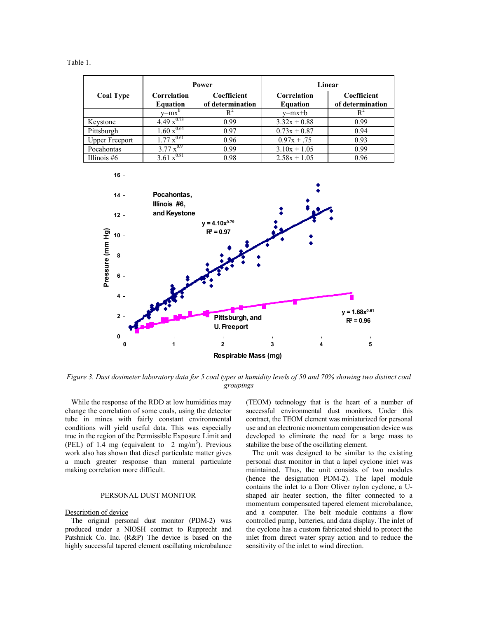|                       | Power                          |                                 | Linear                         |                                 |
|-----------------------|--------------------------------|---------------------------------|--------------------------------|---------------------------------|
| <b>Coal Type</b>      | Correlation<br><b>Equation</b> | Coefficient<br>of determination | Correlation<br><b>Equation</b> | Coefficient<br>of determination |
|                       | v=mx'                          |                                 | $v=mx+b$                       | R                               |
| Keystone              | $4.49 \times^{0.73}$           | 0.99                            | $3.32x + 0.88$                 | 0.99                            |
| Pittsburgh            | $1.60 x^{0.64}$                | 0.97                            | $0.73x + 0.87$                 | 0.94                            |
| <b>Upper Freeport</b> | $1.77 x^{0.61}$                | 0.96                            | $0.97x + .75$                  | 0.93                            |
| Pocahontas            | $3.77 x^{0.9}$                 | 0.99                            | $3.10x + 1.05$                 | 0.99                            |
| Illinois $#6$         | 3.61 $\overline{x}^{0.81}$     | 0.98                            | $2.58x + 1.05$                 | 0.96                            |



*Figure 3. Dust dosimeter laboratory data for 5 coal types at humidity levels of 50 and 70% showing two distinct coal groupings* 

While the response of the RDD at low humidities may change the correlation of some coals, using the detector tube in mines with fairly constant environmental conditions will yield useful data. This was especially true in the region of the Permissible Exposure Limit and (PEL) of 1.4 mg (equivalent to  $2 \text{ mg/m}^3$ ). Previous work also has shown that diesel particulate matter gives a much greater response than mineral particulate making correlation more difficult.

#### PERSONAL DUST MONITOR

#### Description of device

The original personal dust monitor (PDM-2) was produced under a NIOSH contract to Rupprecht and Patshnick Co. Inc. (R&P) The device is based on the highly successful tapered element oscillating microbalance (TEOM) technology that is the heart of a number of successful environmental dust monitors. Under this contract, the TEOM element was miniaturized for personal use and an electronic momentum compensation device was developed to eliminate the need for a large mass to stabilize the base of the oscillating element.

The unit was designed to be similar to the existing personal dust monitor in that a lapel cyclone inlet was maintained. Thus, the unit consists of two modules (hence the designation PDM-2). The lapel module contains the inlet to a Dorr Oliver nylon cyclone, a Ushaped air heater section, the filter connected to a momentum compensated tapered element microbalance, and a computer. The belt module contains a flow controlled pump, batteries, and data display. The inlet of the cyclone has a custom fabricated shield to protect the inlet from direct water spray action and to reduce the sensitivity of the inlet to wind direction.

Table 1.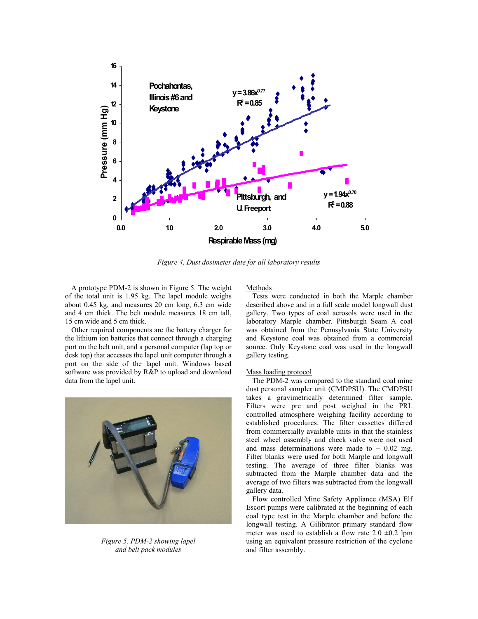

*Figure 4. Dust dosimeter date for all laboratory results* 

A prototype PDM-2 is shown in Figure 5. The weight of the total unit is 1.95 kg. The lapel module weighs about 0.45 kg, and measures 20 cm long, 6.3 cm wide and 4 cm thick. The belt module measures 18 cm tall, 15 cm wide and 5 cm thick.

Other required components are the battery charger for the lithium ion batteries that connect through a charging port on the belt unit, and a personal computer (lap top or desk top) that accesses the lapel unit computer through a port on the side of the lapel unit. Windows based software was provided by R&P to upload and download data from the lapel unit.



*Figure 5. PDM-2 showing lapel and belt pack modules* 

### Methods

Tests were conducted in both the Marple chamber described above and in a full scale model longwall dust gallery. Two types of coal aerosols were used in the laboratory Marple chamber. Pittsburgh Seam A coal was obtained from the Pennsylvania State University and Keystone coal was obtained from a commercial source. Only Keystone coal was used in the longwall gallery testing.

#### Mass loading protocol

The PDM-2 was compared to the standard coal mine dust personal sampler unit (CMDPSU). The CMDPSU takes a gravimetrically determined filter sample. Filters were pre and post weighed in the PRL controlled atmosphere weighing facility according to established procedures. The filter cassettes differed from commercially available units in that the stainless steel wheel assembly and check valve were not used and mass determinations were made to  $\pm$  0.02 mg. Filter blanks were used for both Marple and longwall testing. The average of three filter blanks was subtracted from the Marple chamber data and the average of two filters was subtracted from the longwall gallery data.

Flow controlled Mine Safety Appliance (MSA) Elf Escort pumps were calibrated at the beginning of each coal type test in the Marple chamber and before the longwall testing. A Gilibrator primary standard flow meter was used to establish a flow rate  $2.0 \pm 0.2$  lpm using an equivalent pressure restriction of the cyclone and filter assembly.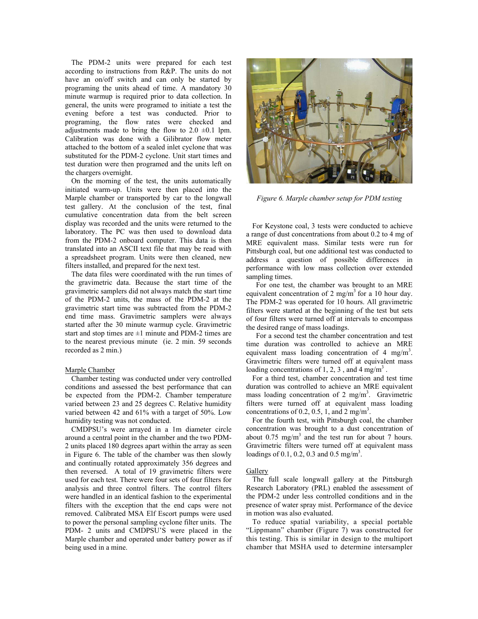The PDM-2 units were prepared for each test according to instructions from R&P. The units do not have an on/off switch and can only be started by programing the units ahead of time. A mandatory 30 minute warmup is required prior to data collection. In general, the units were programed to initiate a test the evening before a test was conducted. Prior to programing, the flow rates were checked and adjustments made to bring the flow to  $2.0 \pm 0.1$  lpm. Calibration was done with a Gilibrator flow meter attached to the bottom of a sealed inlet cyclone that was substituted for the PDM-2 cyclone. Unit start times and test duration were then programed and the units left on the chargers overnight.

On the morning of the test, the units automatically initiated warm-up. Units were then placed into the Marple chamber or transported by car to the longwall test gallery. At the conclusion of the test, final cumulative concentration data from the belt screen display was recorded and the units were returned to the laboratory. The PC was then used to download data from the PDM-2 onboard computer. This data is then translated into an ASCII text file that may be read with a spreadsheet program. Units were then cleaned, new filters installed, and prepared for the next test.

The data files were coordinated with the run times of the gravimetric data. Because the start time of the gravimetric samplers did not always match the start time of the PDM-2 units, the mass of the PDM-2 at the gravimetric start time was subtracted from the PDM-2 end time mass. Gravimetric samplers were always started after the 30 minute warmup cycle. Gravimetric start and stop times are  $\pm 1$  minute and PDM-2 times are to the nearest previous minute (ie. 2 min. 59 seconds recorded as 2 min.)

#### Marple Chamber

Chamber testing was conducted under very controlled conditions and assessed the best performance that can be expected from the PDM-2. Chamber temperature varied between 23 and 25 degrees C. Relative humidity varied between 42 and 61% with a target of 50%. Low humidity testing was not conducted.

CMDPSU's were arrayed in a 1m diameter circle around a central point in the chamber and the two PDM-2 units placed 180 degrees apart within the array as seen in Figure 6. The table of the chamber was then slowly and continually rotated approximately 356 degrees and then reversed. A total of 19 gravimetric filters were used for each test. There were four sets of four filters for analysis and three control filters. The control filters were handled in an identical fashion to the experimental filters with the exception that the end caps were not removed. Calibrated MSA Elf Escort pumps were used to power the personal sampling cyclone filter units. The PDM- 2 units and CMDPSU'S were placed in the Marple chamber and operated under battery power as if being used in a mine.



*Figure 6. Marple chamber setup for PDM testing* 

For Keystone coal, 3 tests were conducted to achieve a range of dust concentrations from about 0.2 to 4 mg of MRE equivalent mass. Similar tests were run for Pittsburgh coal, but one additional test was conducted to address a question of possible differences in performance with low mass collection over extended sampling times.

 For one test, the chamber was brought to an MRE equivalent concentration of 2 mg/m<sup>3</sup> for a 10 hour day. The PDM-2 was operated for 10 hours. All gravimetric filters were started at the beginning of the test but sets of four filters were turned off at intervals to encompass the desired range of mass loadings.

 For a second test the chamber concentration and test time duration was controlled to achieve an MRE equivalent mass loading concentration of 4 mg/m<sup>3</sup>. Gravimetric filters were turned off at equivalent mass loading concentrations of 1, 2, 3, and 4 mg/m<sup>3</sup>.

For a third test, chamber concentration and test time duration was controlled to achieve an MRE equivalent mass loading concentration of 2 mg/m<sup>3</sup>. Gravimetric filters were turned off at equivalent mass loading concentrations of 0.2, 0.5, 1, and 2 mg/m<sup>3</sup>.

For the fourth test, with Pittsburgh coal, the chamber concentration was brought to a dust concentration of about  $0.75 \text{ mg/m}^3$  and the test run for about 7 hours. Gravimetric filters were turned off at equivalent mass loadings of 0.1, 0.2, 0.3 and 0.5 mg/m<sup>3</sup>.

#### Gallery

The full scale longwall gallery at the Pittsburgh Research Laboratory (PRL) enabled the assessment of the PDM-2 under less controlled conditions and in the presence of water spray mist. Performance of the device in motion was also evaluated.

To reduce spatial variability, a special portable "Lippmann" chamber (Figure 7) was constructed for this testing. This is similar in design to the multiport chamber that MSHA used to determine intersampler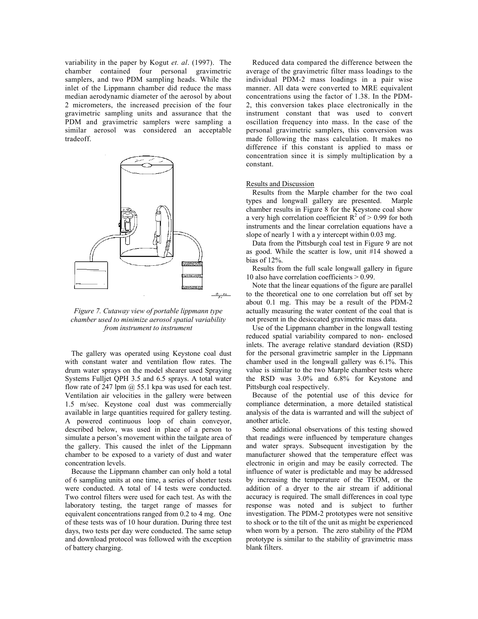variability in the paper by Kogut *et. al*. (1997). The chamber contained four personal gravimetric samplers, and two PDM sampling heads. While the inlet of the Lippmann chamber did reduce the mass median aerodynamic diameter of the aerosol by about 2 micrometers, the increased precision of the four gravimetric sampling units and assurance that the PDM and gravimetric samplers were sampling a similar aerosol was considered an acceptable tradeoff.



*Figure 7. Cutaway view of portable lippmann type chamber used to minimize aerosol spatial variability from instrument to instrument* 

The gallery was operated using Keystone coal dust with constant water and ventilation flow rates. The drum water sprays on the model shearer used Spraying Systems Fulljet QPH 3.5 and 6.5 sprays. A total water flow rate of 247 lpm @ 55.1 kpa was used for each test. Ventilation air velocities in the gallery were between 1.5 m/sec. Keystone coal dust was commercially available in large quantities required for gallery testing. A powered continuous loop of chain conveyor, described below, was used in place of a person to simulate a person's movement within the tailgate area of the gallery. This caused the inlet of the Lippmann chamber to be exposed to a variety of dust and water concentration levels.

Because the Lippmann chamber can only hold a total of 6 sampling units at one time, a series of shorter tests were conducted. A total of 14 tests were conducted. Two control filters were used for each test. As with the laboratory testing, the target range of masses for equivalent concentrations ranged from 0.2 to 4 mg. One of these tests was of 10 hour duration. During three test days, two tests per day were conducted. The same setup and download protocol was followed with the exception of battery charging.

Reduced data compared the difference between the average of the gravimetric filter mass loadings to the individual PDM-2 mass loadings in a pair wise manner. All data were converted to MRE equivalent concentrations using the factor of 1.38. In the PDM-2, this conversion takes place electronically in the instrument constant that was used to convert oscillation frequency into mass. In the case of the personal gravimetric samplers, this conversion was made following the mass calculation. It makes no difference if this constant is applied to mass or concentration since it is simply multiplication by a constant.

#### Results and Discussion

Results from the Marple chamber for the two coal types and longwall gallery are presented. Marple chamber results in Figure 8 for the Keystone coal show a very high correlation coefficient  $R^2$  of  $> 0.99$  for both instruments and the linear correlation equations have a slope of nearly 1 with a y intercept within 0.03 mg.

Data from the Pittsburgh coal test in Figure 9 are not as good. While the scatter is low, unit #14 showed a bias of 12%.

Results from the full scale longwall gallery in figure 10 also have correlation coefficients > 0.99.

Note that the linear equations of the figure are parallel to the theoretical one to one correlation but off set by about 0.1 mg. This may be a result of the PDM-2 actually measuring the water content of the coal that is not present in the desiccated gravimetric mass data.

Use of the Lippmann chamber in the longwall testing reduced spatial variability compared to non- enclosed inlets. The average relative standard deviation (RSD) for the personal gravimetric sampler in the Lippmann chamber used in the longwall gallery was 6.1%. This value is similar to the two Marple chamber tests where the RSD was 3.0% and 6.8% for Keystone and Pittsburgh coal respectively.

Because of the potential use of this device for compliance determination, a more detailed statistical analysis of the data is warranted and will the subject of another article.

Some additional observations of this testing showed that readings were influenced by temperature changes and water sprays. Subsequent investigation by the manufacturer showed that the temperature effect was electronic in origin and may be easily corrected. The influence of water is predictable and may be addressed by increasing the temperature of the TEOM, or the addition of a dryer to the air stream if additional accuracy is required. The small differences in coal type response was noted and is subject to further investigation. The PDM-2 prototypes were not sensitive to shock or to the tilt of the unit as might be experienced when worn by a person. The zero stability of the PDM prototype is similar to the stability of gravimetric mass blank filters.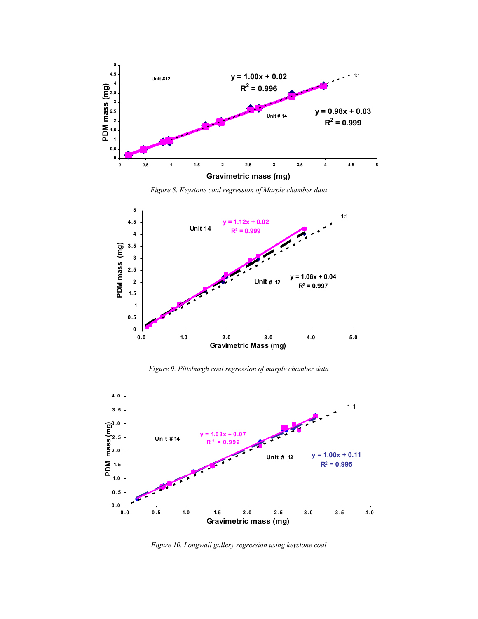

*Figure 8. Keystone coal regression of Marple chamber data* 



*Figure 9. Pittsburgh coal regression of marple chamber data* 



*Figure 10. Longwall gallery regression using keystone coal*